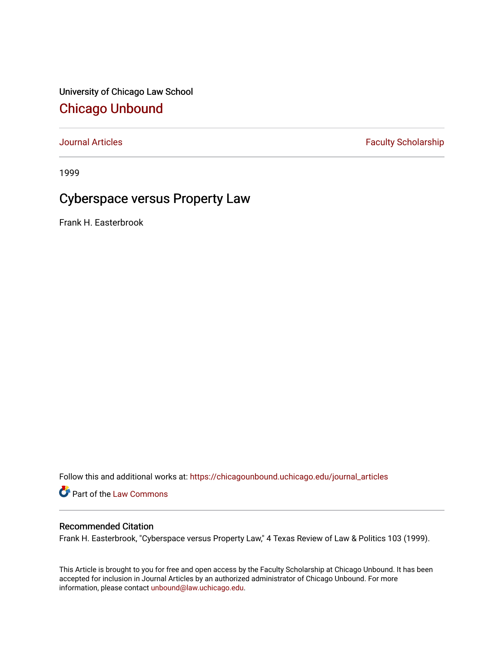University of Chicago Law School [Chicago Unbound](https://chicagounbound.uchicago.edu/)

[Journal Articles](https://chicagounbound.uchicago.edu/journal_articles) **Faculty Scholarship Faculty Scholarship** 

1999

## Cyberspace versus Property Law

Frank H. Easterbrook

Follow this and additional works at: [https://chicagounbound.uchicago.edu/journal\\_articles](https://chicagounbound.uchicago.edu/journal_articles?utm_source=chicagounbound.uchicago.edu%2Fjournal_articles%2F1156&utm_medium=PDF&utm_campaign=PDFCoverPages) 

Part of the [Law Commons](http://network.bepress.com/hgg/discipline/578?utm_source=chicagounbound.uchicago.edu%2Fjournal_articles%2F1156&utm_medium=PDF&utm_campaign=PDFCoverPages)

## Recommended Citation

Frank H. Easterbrook, "Cyberspace versus Property Law," 4 Texas Review of Law & Politics 103 (1999).

This Article is brought to you for free and open access by the Faculty Scholarship at Chicago Unbound. It has been accepted for inclusion in Journal Articles by an authorized administrator of Chicago Unbound. For more information, please contact [unbound@law.uchicago.edu](mailto:unbound@law.uchicago.edu).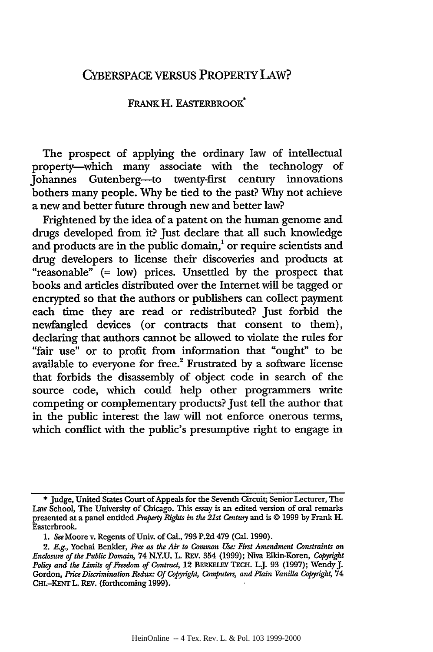## CYBERSPACE VERSUS PROPERTY LAW?

## FRANK H. EASTERBROOK<sup>\*</sup>

The prospect of applying the ordinary law of intellectual property-which many associate with the technology of Johannes Gutenberg-to twenty-first century innovations bothers many people. Why be tied to the past? Why not achieve a new and better future through new and better law?

Frightened by the idea of a patent on the human genome and drugs developed from it? Just declare that all such knowledge and products are in the public domain,' or require scientists and drug developers to license their discoveries and products at "reasonable" (= low) prices. Unsettled by the prospect that books and articles distributed over the Internet will be tagged or encrypted so that the authors or publishers can collect payment each time they are read or redistributed? Just forbid the newfangled devices (or contracts that consent to them), declaring that authors cannot be allowed to violate the rules for "fair use" or to profit from information that "ought" to be available to everyone for free.<sup>2</sup> Frustrated by a software license that forbids the disassembly of object code in search of the source code, which could help other programmers write competing or complementary products? Just tell the author that in the public interest the law will not enforce onerous terms, which conflict with the public's presumptive right to engage in

<sup>\*</sup> Judge, United States Court of Appeals for the Seventh Circuit; Senior Lecturer, The Law School, The University of Chicago. This essay is an edited version of oral remarks presented at a panel entitled *Property Rights in the 21st Centuy* and is © 1999 by Frank H. Easterbrook.

**<sup>1.</sup>** *See* Moore v. Regents of Univ. of Cal., 793 P.2d 479 (Cal. 1990).

**<sup>2.</sup>** *E.g.,* Yochai Benlder, *Free as the Air to Common Use: First Amendment Constraints on Enclosure of the Public Domain,* 74 N.Y.U. L REV. 354 (1999); Niva Elkin-Koren, *Copyight* Policy and the Limits of Freedom of Contract, 12 BERKELEY TECH. L.J. 93 (1997); Wendy J. Gordon, Price Discrimination Redux: Of Copyright, Computers, and Plain Vanilla Copyright, 74 CHI.-KENT L. REV. (forthcoming 1999).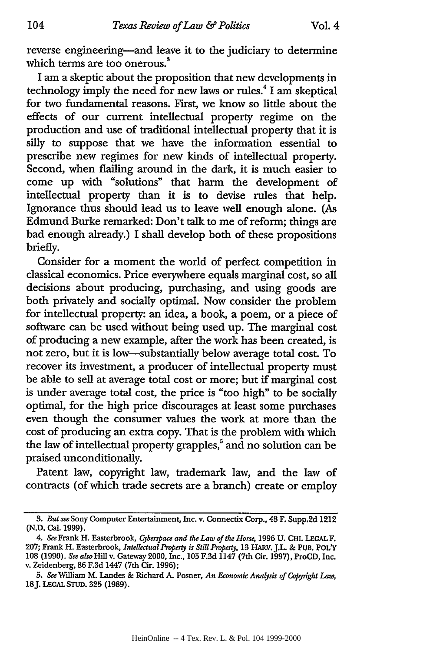reverse engineering-and leave it to the judiciary to determine **<sup>3</sup>** which terms are too onerous.

I am a skeptic about the proposition that new developments in technology imply the need for new laws or rules.4 I am skeptical for two fundamental reasons. First, we know so little about the effects of our current intellectual property regime on the production and use of traditional intellectual property that it is silly to suppose that we have the information essential to prescribe new regimes for new kinds of intellectual property. Second, when flailing around in the dark, it is much easier to come up with "solutions" that harm the development of intellectual property than it is to devise rules that help. Ignorance thus should lead us to leave well enough alone. (As Edmund Burke remarked: Don't talk to me of reform; things are bad enough already.) I shall develop both of these propositions briefly.

Consider for a moment the world of perfect competition in classical economics. Price everywhere equals marginal cost, so all decisions about producing, purchasing, and using goods are both privately and socially optimal. Now consider the problem for intellectual property: an idea, a book, a poem, or a piece of software can be used without being used up. The marginal cost of producing a new example, after the work has been created, is not zero, but it is low-substantially below average total cost. To recover its investment, a producer of intellectual property must be able to sell at average total cost or more; but if marginal cost is under average total cost, the price is "too high" to be socially optimal, for the high price discourages at least some purchases even though the consumer values the work at more than the cost of producing an extra copy. That is the problem with which the law of intellectual property grapples,<sup>5</sup> and no solution can be praised unconditionally.

Patent law, copyright law, trademark law, and the law of contracts (of which trade secrets are a branch) create or employ

<sup>3.</sup> *But see* Sony Computer Entertainment, Inc. v. Connectix Corp., 48 F. Supp.2d 1212 (N.D. Cal. 1999).

<sup>4.</sup> See Frank H. Easterbrook, *Cyberspace and the Law of the Horse*, 1996 U. CHI. LEGAL F. **207;** Frank H. Easterbrook, *Intellectual Property is Still Property,* **13** HARV. J.L. **& PUB. POL'Y 108 (1990).** *See also* Hill v. Gateway 2000, Inc., **105 F.3d** 1147 (7th Cir. **1997),** ProCD, Inc. v. Zeidenberg, **86 F.3d** 1447 (7th Cir. **1996);**

**<sup>5.</sup>** *See* William M. Landes **&** Richard *A.* Posner, *An Economic Analysis of C opyight Law,* 18J. **LEGAL** STUD. **325** (1989).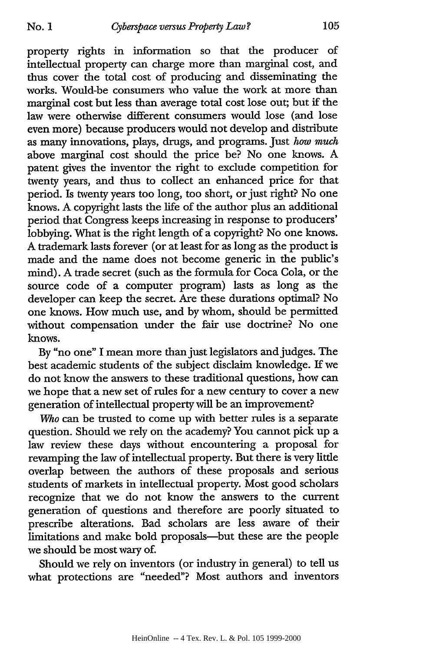property rights in information so that the producer of intellectual property can charge more than marginal cost, and thus cover the total cost of producing and disseminating the works. Would-be consumers who value the work at more than marginal cost but less than average total cost lose out; but if the law were otherwise different consumers would lose (and lose even more) because producers would not develop and distribute as many innovations, plays, drugs, and programs. Just *how much* above marginal cost should the price be? No one knows. A patent gives the inventor the right to exclude competition for twenty years, and thus to collect an enhanced price for that period. Is twenty years too long, too short, or just right? No one knows. A copyright lasts the life of the author plus an additional period that Congress keeps increasing in response to producers' lobbying. What is the right length of a copyright? No one knows. A trademark lasts forever (or at least for as long as the product is made and the name does not become generic in the public's mind). A trade secret (such as the formula for Coca Cola, or the source code of a computer program) lasts as long as the developer can keep the secret. Are these durations optimal? No one knows. How much use, and by whom, should be permitted without compensation under the fair use doctrine? No one knows.

By "no one" I mean more than just legislators and judges. The best academic students of the subject disclaim knowledge. If we do not know the answers to these traditional questions, how can we hope that a new set of rules for a new century to cover a new generation of intellectual property will be an improvement?

*Who* can be trusted to come up with better rules is a separate question. Should we rely on the academy? You cannot pick up a law review these days without encountering a proposal for revamping the law of intellectual property. But there is very little overlap between the authors of these proposals and serious students of markets in intellectual property. Most good scholars recognize that we do not know the answers to the current generation of questions and therefore are poorly situated to prescribe alterations. Bad scholars are less aware of their limitations and make bold proposals-but these are the people we should be most wary of.

Should we rely on inventors (or industry in general) to tell us what protections are "needed"? Most authors and inventors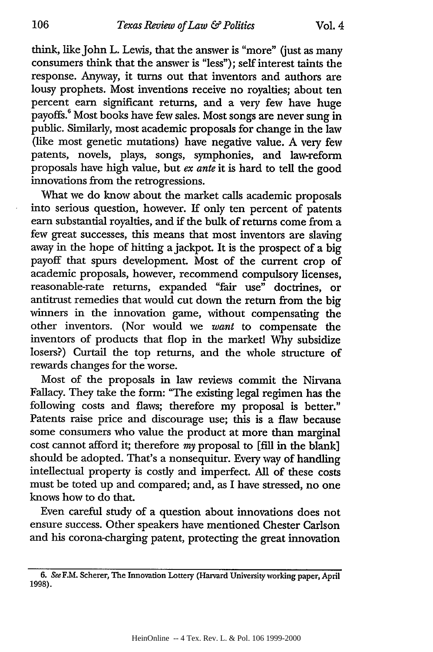think, like John L. Lewis, that the answer is "more" (just as many consumers think that the answer is "less"); self interest taints the response. Anyway, it turns out that inventors and authors are lousy prophets. Most inventions receive no royalties; about ten percent earn significant returns, and a very few have huge payoffs.<sup>6</sup> Most books have few sales. Most songs are never sung in public. Similarly, most academic proposals for change in the law (like most genetic mutations) have negative value. A very few patents, novels, plays, songs, symphonies, and law-reform proposals have high value, but *ex ante* it is hard to tell the good innovations from the retrogressions.

What we do know about the market calls academic proposals into serious question, however. If only ten percent of patents earn substantial royalties, and if the bulk of returns come from a few great successes, this means that most inventors are slaving away in the hope of hitting a jackpot. It is the prospect of a big payoff that spurs development. Most of the current crop of academic proposals, however, recommend compulsory licenses, reasonable-rate returns, expanded "fair use" doctrines, or antitrust remedies that would cut down the return from the big winners in the innovation game, without compensating the other inventors. (Nor would we *want* to compensate the inventors of products that flop in the market! Why subsidize losers?) Curtail the top returns, and the whole structure of rewards changes for the worse.

Most of the proposals in law reviews commit the Nirvana Fallacy. They take the form: "The existing legal regimen has the following costs and flaws; therefore my proposal is better." Patents raise price and discourage use; this is a flaw because some consumers who value the product at more than marginal cost cannot afford it; therefore *my* proposal to [fill in the blank] should be adopted. That's a nonsequitur. Every way of handling intellectual property is costly and imperfect. All of these costs must be toted up and compared; and, as I have stressed, no one knows how to do that.

Even careful study of a question about innovations does not ensure success. Other speakers have mentioned Chester Carlson and his corona-charging patent, protecting the great innovation

<sup>6.</sup> See F.M. Scherer, The Innovation Lottery (Harvard University working paper, April 1998).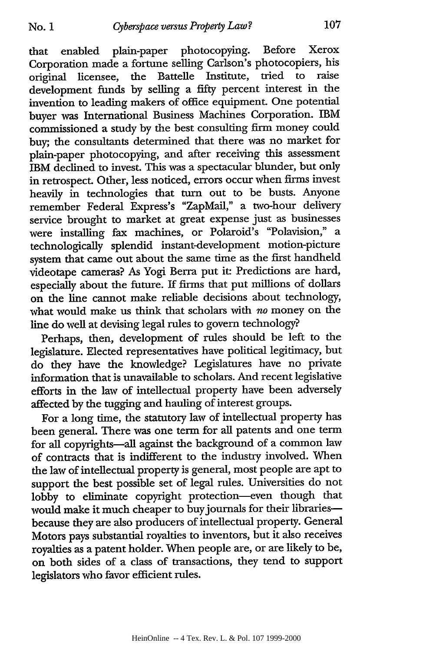that enabled plain-paper photocopying. Before Xerox Corporation made a fortune selling Carlson's photocopiers, his original licensee, the Battelle Institute, tried to raise development funds by selling a fifty percent interest in the invention to leading makers of office equipment. One potential buyer was International Business Machines Corporation. IBM commissioned a study by the best consulting firm money could buy; the consultants determined that there was no market for plain-paper photocopying, and after receiving this assessment IBM declined to invest. This was a spectacular blunder, but only in retrospect. Other, less noticed, errors occur when firms invest heavily in technologies that turn out to be busts. Anyone remember Federal Express's "ZapMail," a two-hour delivery service brought to market at great expense just as businesses were installing fax machines, or Polaroid's "Polavision," a technologically splendid instant-development motion-picture system that came out about the same time as the first handheld videotape cameras? As Yogi Berra put it: Predictions are hard, especially about the future. If firms that put millions of dollars on the line cannot make reliable decisions about technology, what would make us think that scholars with *no* money on the line do well at devising legal rules to govern technology?

Perhaps, then, development of rules should be left to the legislature. Elected representatives have political legitimacy, but do they have the knowledge? Legislatures have no private information that is unavailable to scholars. And recent legislative efforts in the law of intellectual property have been adversely affected by the tugging and hauling of interest groups.

For a long time, the statutory law of intellectual property has been general. There was one term for all patents and one term for all copyrights--all against the background of a common law of contracts that is indifferent to the industry involved. When the law of intellectual property is general, most people are apt to support the best possible set of legal rules. Universities do not lobby to eliminate copyright protection-even though that would make it much cheaper to buy journals for their librariesbecause they are also producers of intellectual property. General Motors pays substantial royalties to inventors, but it also receives royalties as a patent holder. When people are, or are likely to be, on both sides of a class of transactions, they tend to support legislators who favor efficient rules.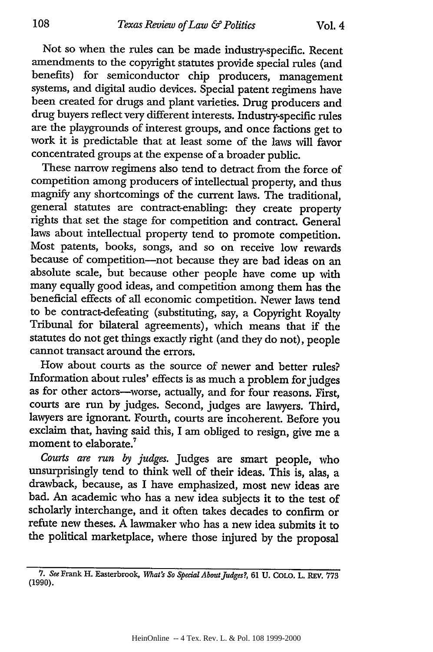Not so when the rules can be made industry-specific. Recent amendments to the copyright statutes provide special rules (and benefits) for semiconductor chip producers, management systems, and digital audio devices. Special patent regimens have been created for drugs and plant varieties. Drug producers and drug buyers reflect very different interests. Industry-specific rules are the playgrounds of interest groups, and once factions get to work it is predictable that at least some of the laws will favor concentrated groups at the expense of a broader public.

These narrow regimens also tend to detract from the force of competition among producers of intellectual property, and thus magnify any shortcomings of the current laws. The traditional, general statutes are contract-enabling: they create property rights that set the stage for competition and contract. General laws about intellectual property tend to promote competition. Most patents, books, songs, and so on receive low rewards because of competition-not because they are bad ideas on an absolute scale, but because other people have come up with many equally good ideas, and competition among them has the beneficial effects of all economic competition. Newer laws tend to be contract-defeating (substituting, say, a Copyright Royalty Tribunal for bilateral agreements), which means that if the statutes do not get things exactly right (and they do not), people cannot transact around the errors.

How about courts as the source of newer and better rules? Information about rules' effects is as much a problem for judges as for other actors-worse, actually, and for four reasons. First, courts are run by judges. Second, judges are lawyers. Third, lawyers are ignorant. Fourth, courts are incoherent. Before you exclaim that, having said this, I am obliged to resign, give me a moment to elaborate.<sup>7</sup>

*Courts are run by judges.* Judges are smart people, who unsurprisingly tend to think well of their ideas. This is, alas, a drawback, because, as I have emphasized, most new ideas are bad. An academic who has a new idea subjects it to the test of scholarly interchange, and it often takes decades to confirm or refute new theses. A lawmaker who has a new idea submits it to the political marketplace, where those injured by the proposal

**<sup>7.</sup>** *See* Frank H. Easterbrook, *What's So Special AboutJudges?,* **61 U.** COLO. L. REV. **<sup>773</sup>** (1990).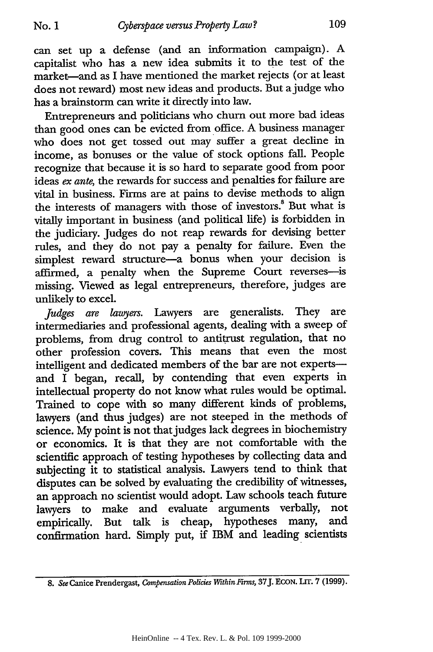can set up a defense (and an information campaign). **A** capitalist who has a new idea submits it to the test of the market-and as I have mentioned the market rejects (or at least does not reward) most new ideas and products. But ajudge who has a brainstorm can write it directly into law.

Entrepreneurs and politicians who churn out more bad ideas than good ones can be evicted from office. A business manager who does not get tossed out may suffer a great decline in income, as bonuses or the value of stock options fall. People recognize that because it is so hard to separate good from poor ideas *ex ante,* the rewards for success and penalties for failure are vital in business. Firms are at pains to devise methods to align the interests of managers with those of investors.<sup>8</sup> But what is vitally important in business (and political life) is forbidden in the judiciary. Judges do not reap rewards for devising better rules, and they do not pay a penalty for failure. Even the simplest reward structure-a bonus when your decision is affirmed, a penalty when the Supreme Court reverses-is missing. Viewed as legal entrepreneurs, therefore, judges are unlikely to excel.

*Judges are lawyers.* Lawyers are generalists. They are intermediaries and professional agents, dealing with a sweep of problems, from drug control to antitrust regulation, that no other profession covers. This means that even the most intelligent and dedicated members of the bar are not expertsand I began, recall, by contending that even experts in intellectual property do not know what rules would be optimal. Trained to cope with so many different kinds of problems, lawyers (and thus judges) are not steeped in the methods of science. My point is not that judges lack degrees in biochemistry or economics. It is that they are not comfortable with the scientific approach of testing hypotheses by collecting data and subjecting it to statistical analysis. Lawyers tend to think that disputes can be solved by evaluating the credibility of witnesses, an approach no scientist would adopt. Law schools teach future lawyers to make and evaluate arguments verbally, not empirically. But talk is cheap, hypotheses many, and confirmation hard. Simply put, **if** IBM and leading scientists

*<sup>8.</sup> See* Canice Prendergast, *Compensation Policies Within irms,* 37J. ECON. **LIT. 7** (1999).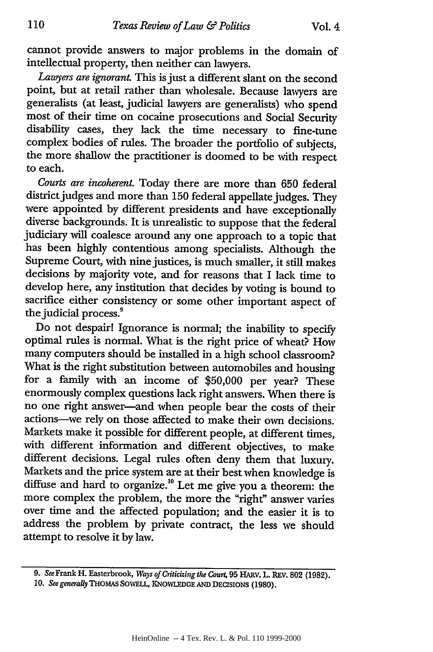cannot provide answers to major problems in the domain of intellectual property, then neither can lawyers.

*Lawyers are ignorant.* This is just a different slant on the second point, but at retail rather than wholesale. Because lawyers are generalists (at least, judicial lawyers are generalists) who spend most of their time on cocaine prosecutions and Social Security disability cases, they lack the time necessary to fine-tune complex bodies of rules. The broader the portfolio of subjects, the more shallow the practitioner is doomed to be with respect to each.

*Courts are incoherent.* Today there are more than **650** federal district judges and more than 150 federal appellate judges. They were appointed by different presidents and have exceptionally diverse backgrounds. It is unrealistic to suppose that the federal judiciary will coalesce around any one approach to a topic that has been highly contentious among specialists. Although the Supreme Court, with nine justices, is much smaller, it still makes decisions by majority vote, and for reasons that I lack time to develop here, any institution that decides by voting is bound to sacrifice either consistency or some other important aspect of the judicial process.

Do not despair! Ignorance is normal; the inability to specify optimal rules is normal. What is the right price of wheat? How many computers should be installed in a high school classroom? What is the right substitution between automobiles and housing for a family with an income of \$50,000 per year? These enormously complex questions lack right answers. When there is no one right answer-and when people bear the costs of their actions-we rely on those affected to make their own decisions. Markets make it possible for different people, at different times, with different information and different objectives, to make different decisions. Legal rules often deny them that luxury. Markets and the price system are at their best when knowledge is diffuse and hard to organize.<sup>10</sup> Let me give you a theorem: the more complex the problem, the more the "right" answer varies over time and the affected population; and the easier it is to address the problem by private contract, the less we should attempt to resolve it by law.

**<sup>9.</sup>** SeeFrank H. Easterbrook, *Ways of Criticizing the Court,* 95 HARV. L. REV. **802** (1982).

<sup>10.</sup> *See generaUy* **THOMAS SOWELL, KNOWLEDGE AND** DECISIONS (1980).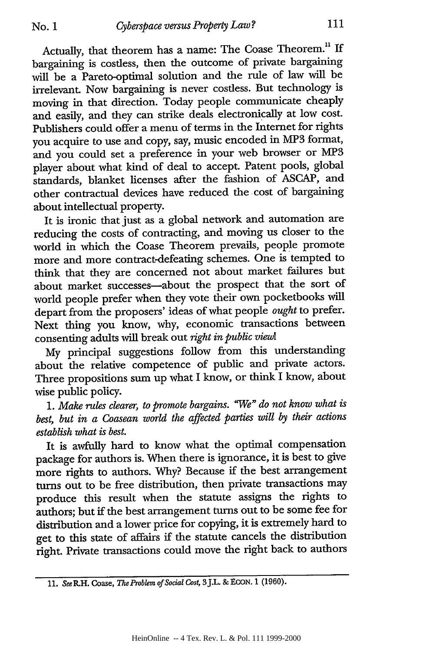Actually, that theorem has a name: The Coase Theorem." If bargaining is costless, then the outcome of private bargaining will be a Pareto-optimal solution and the rule of law will be irrelevant. Now bargaining is never costless. But technology is moving in that direction. Today people communicate cheaply and easily, and they can strike deals electronically at low cost. Publishers could offer a menu of terms in the Internet for rights you acquire to use and copy, say, music encoded in MP3 format, and you could set a preference in your web browser or **MP3** player about what kind of deal to accept. Patent pools, global standards, blanket licenses after the fashion of ASCAP, and other contractual devices have reduced the cost of bargaining about intellectual property.

It is ironic that just as a global network and automation are reducing the costs of contracting, and moving us closer to the world in which the Coase Theorem prevails, people promote more and more contract-defeating schemes. One is tempted to think that they are concerned not about market failures but about market successes-about the prospect that the sort of world people prefer when they vote their own pocketbooks will depart from the proposers' ideas of what people *ought* to prefer. Next thing you know, why, economic transactions between consenting adults will break out *right in public view!*

My principal suggestions follow from this understanding about the relative competence of public and private actors. Three propositions sum up what I know, or think I know, about wise public policy.

*1. Make rules clearer, to promote bargains. "We" do not know what is best, but in a Coasean world the affected parties will by their actions establish what is best.*

It is awfully hard to know what the optimal compensation package for authors is. When there is ignorance, it is best to give more rights to authors. Why? Because if the best arrangement turns out to be free distribution, then private transactions may produce this result when the statute assigns the rights to authors; but if the best arrangement turns out to be some fee for distribution and a lower price for copying, it is extremely hard to get to this state of affairs if the statute cancels the distribution right. Private transactions could move the right back to authors

<sup>11.</sup> *SeeR.H. Coase, The Problem of Social Cost,* 3J.L. &ECON. 1 (1960).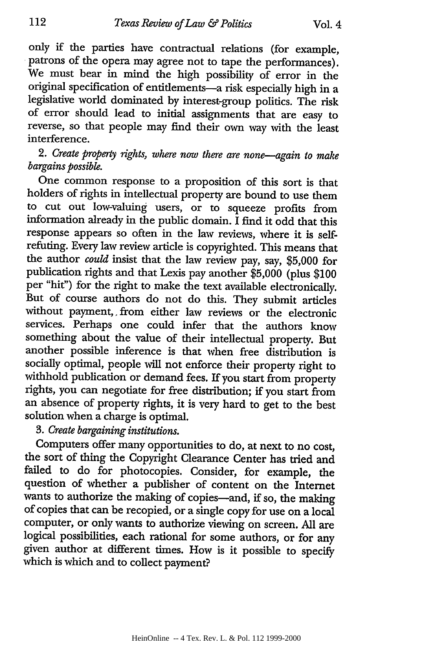only if the parties have contractual relations (for example, patrons of the opera may agree not to tape the performances). We must bear in mind the high possibility of error in the original specification of entitlements-a risk especially high in a legislative world dominated by interest-group politics. The risk of error should lead to initial assignments that are easy to reverse, so that people may find their own way with the least interference.

*2. Create property fights, where now there are none-again to make bargains possible.*

One common response to a proposition of this sort is that holders of rights in intellectual property are bound to use them to cut out low-valuing users, or to squeeze profits from information already in the public domain. I find it odd that this response appears so often in the law reviews, where it is selfrefuting. Every law review article is copyrighted. This means that the author *could* insist that the law review pay, say, \$5,000 for publication rights and that Lexis pay another \$5,000 (plus \$100 per "hit") for the right to make the text available electronically. But of course authors do not do this. They submit articles without payment,, from either law reviews or the electronic services. Perhaps one could infer that the authors know something about the value of their intellectual property. But another possible inference is that when free distribution is socially optimal, people will not enforce their property right to withhold publication or demand fees. If you start from property rights, you can negotiate for free distribution; if you start from an absence of property rights, it is very hard to get to the best solution when a charge is optimal.

*3. Create bargaining institutions.*

Computers offer many opportunities to do, at next to no cost, the sort of thing the Copyright Clearance Center has tried and failed to do for photocopies. Consider, for example, the question of whether a publisher of content on the Internet wants to authorize the making of copies-and, if so, the making of copies that can be recopied, or a single copy for use on a local computer, or only wants to authorize viewing on screen. All are logical possibilities, each rational for some authors, or for any given author at different times. How is it possible to specify which is which and to collect payment?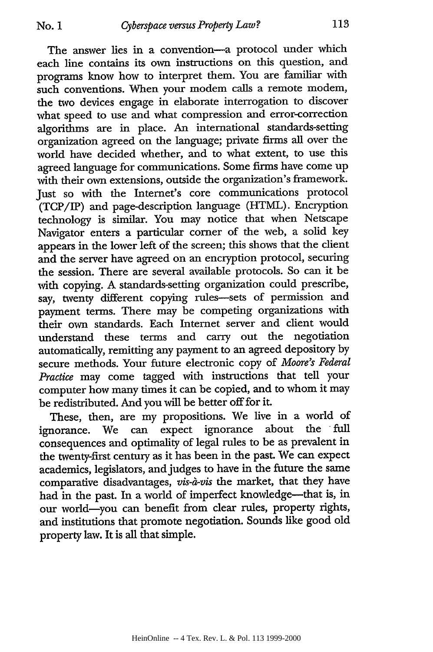The answer lies in a convention-a protocol under which each line contains its own instructions on this question, and programs know how to interpret them. You are familiar with such conventions. When your modem calls a remote modem, the two devices engage in elaborate interrogation to discover what speed to use and what compression and error-correction algorithms are in place. An international standards-setting organization agreed on the language; private firms all over the world have decided whether, and to what extent, to use this agreed language for communications. Some firms have come up with their own extensions, outside the organization's framework. Just so with the Internet's core communications protocol (TCP/IP) and page-description language (HTML). Encryption technology is similar. You may notice that when Netscape Navigator enters a particular corner of the web, a solid key appears in the lower left of the screen; this shows that the client and the server have agreed on an encryption protocol, securing the session. There are several available protocols. So can it be with copying. A standards-setting organization could prescribe, say, twenty different copying rules-sets of permission and payment terms. There may be competing organizations with their own standards. Each Internet server and client would understand these terms and carry out the negotiation automatically, remitting any payment to an agreed depository by secure methods. Your future electronic copy of *Moore's Federal Practice* may come tagged with instructions that tell your computer how many times it can be copied, and to whom it may be redistributed. And you will be better off for it.

These, then, are my propositions. We live in a world of norance. We can expect ignorance about the full ignorance. We can expect ignorance consequences and optimality of legal rules to be as prevalent in the twenty-first century as it has been in the past. We can expect academics, legislators, and judges to have in the future the same comparative disadvantages, *vis-a-vis* the market, that they have had in the past. In a world of imperfect knowledge-that is, in our world-you can benefit from clear rules, property rights, and institutions that promote negotiation. Sounds like good old property law. It is all that simple.